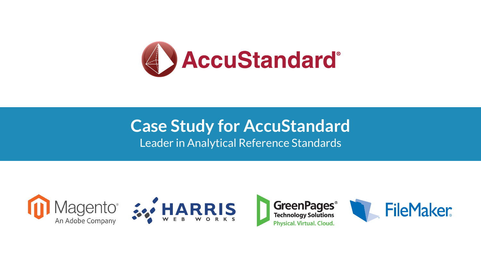

## **Case Study for AccuStandard** Leader in Analytical Reference Standards











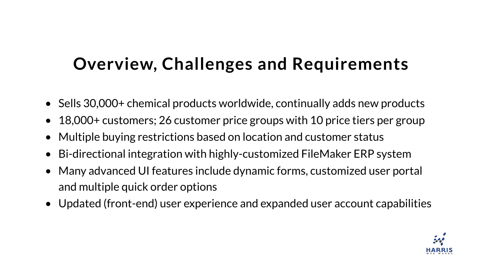# **Overview, Challenges and Requirements**

- and multiple quick order options
- 
- 
- Sells 30,000+ chemical products worldwide, continually adds new products • 18,000+ customers; 26 customer price groups with 10 price tiers per group • Multiple buying restrictions based on location and customer status • Bi-directional integration with highly-customized FileMaker ERP system • Many advanced UI features include dynamic forms, customized user portal
- 
- Updated (front-end) user experience and expanded user account capabilities

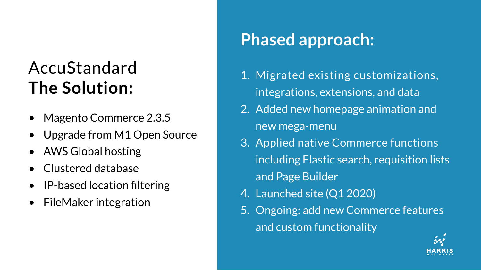# AccuStandard **The Solution:**

- Magento Commerce 2.3.5
- Upgrade from M1 Open Source
- AWS Global hosting
- Clustered database
- IP-based location filtering
- FileMaker integration

## **Phased approach:**

1. Migrated existing customizations, 2. Added new homepage animation and

3. Applied native Commerce functions including Elastic search, requisition lists

- integrations, extensions, and data
- new mega-menu
- and Page Builder
- 4. Launched site (Q1 2020)
- and custom functionality

5. Ongoing: add new Commerce features

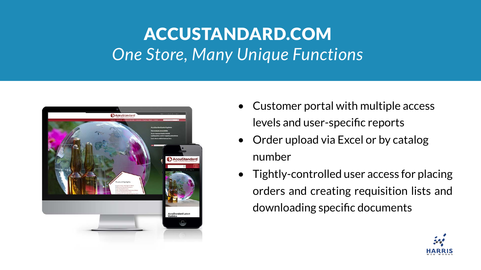# ACCUSTANDARD.COM *One Store, Many Unique Functions*



- Customer portal with multiple access levels and user-specific reports
- Order upload via Excel or by catalog number
- downloading specific documents

• Tightly-controlled user access for placing orders and creating requisition lists and

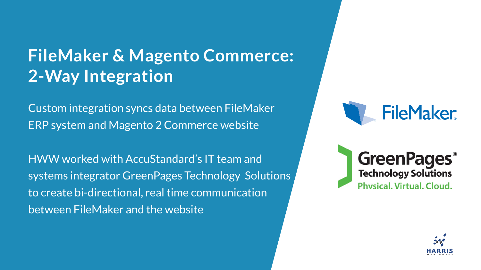## **FileMaker & Magento Commerce: 2-Way Integration**

Custom integration syncs data between FileMaker ERP system and Magento 2 Commerce website

HWW worked with AccuStandard's IT team and systems integrator GreenPages Technology Solutions to create bi-directional, real time communication between FileMaker and the website

# FileMaker.

## **GreenPages® Technology Solutions** Physical, Virtual, Cloud,

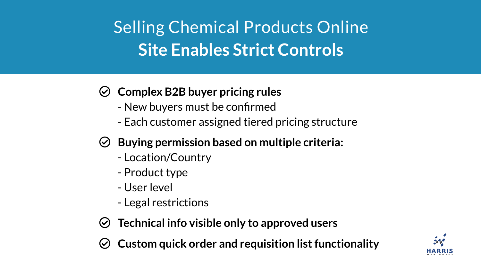## **Complex B2B buyer pricing rules**

- New buyers must be confirmed
- Each customer assigned tiered pricing structure

- **Buying permission based on multiple criteria:** - Location/Country
	- Product type
	- User level
	- Legal restrictions
- **Technical info visible only to approved users**
- **Custom quick order and requisition list functionality**

# Selling Chemical Products Online **Site Enables Strict Controls**



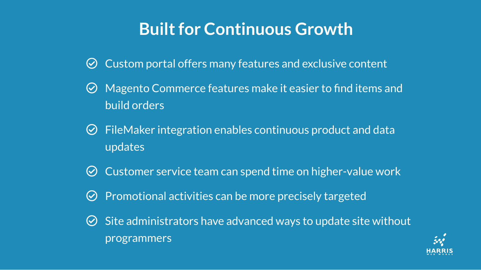- $\odot$  Custom portal offers many features and exclusive content
- Magento Commerce features make it easier to find items and

 $\odot$  FileMaker integration enables continuous product and data

 $\odot$  Site administrators have advanced ways to update site without



- 
- build orders
- updates
- $\odot$  Customer service team can spend time on higher-value work
- $\odot$  Promotional activities can be more precisely targeted
- programmers

## **Built for Continuous Growth**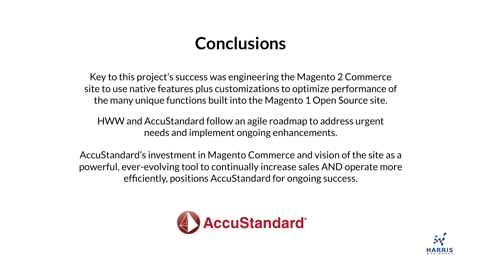# **Conclusions**





Key to this project's success was engineering the Magento 2 Commerce site to use native features plus customizations to optimize performance of the many unique functions built into the Magento 1 Open Source site.

HWW and AccuStandard follow an agile roadmap to address urgent needs and implement ongoing enhancements.

AccuStandard's investment in Magento Commerce and vision of the site as a powerful, ever-evolving tool to continually increase sales AND operate more efficiently, positions AccuStandard for ongoing success.